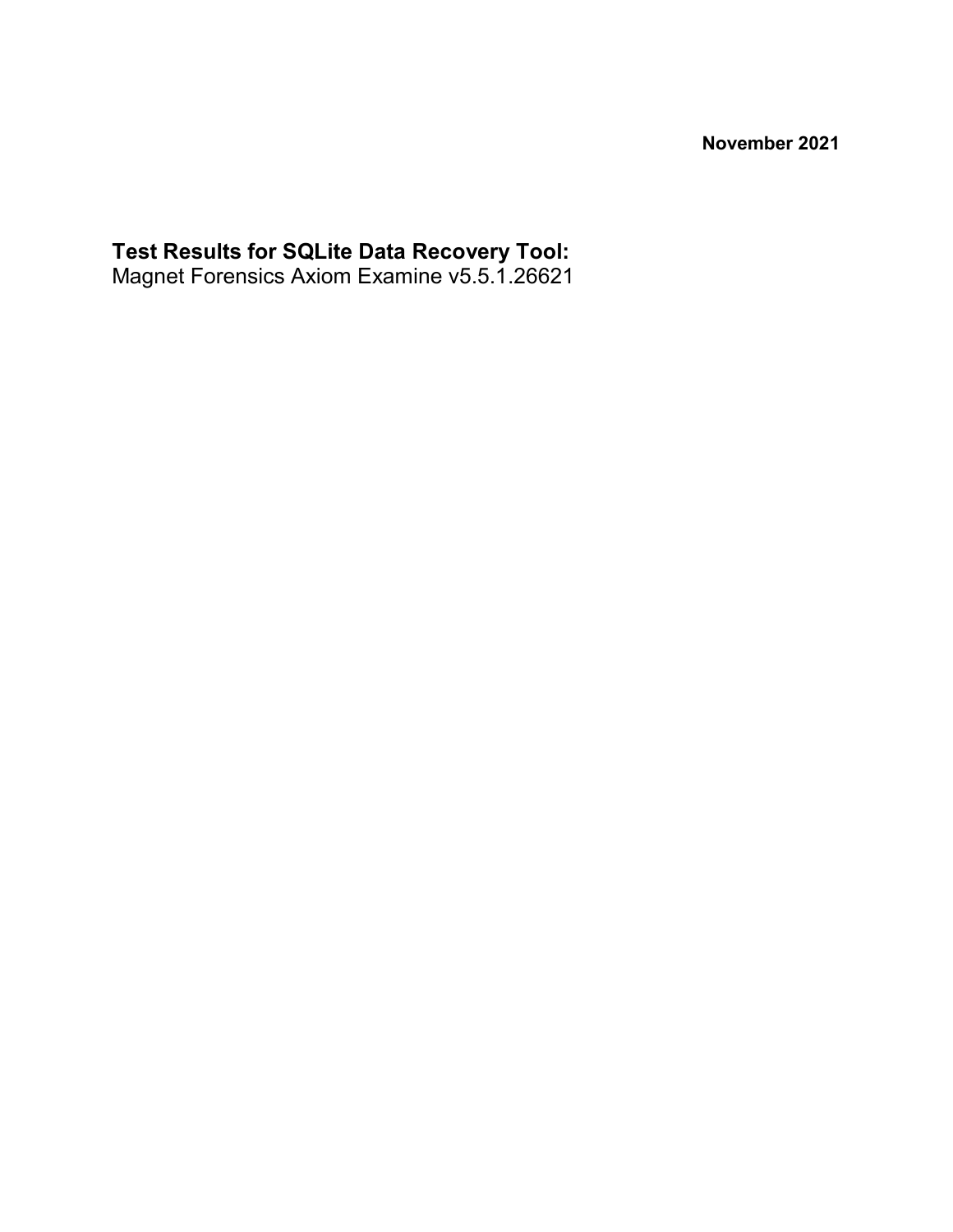**November 2021**

#### **Test Results for SQLite Data Recovery Tool:**

Magnet Forensics Axiom Examine v5.5.1.26621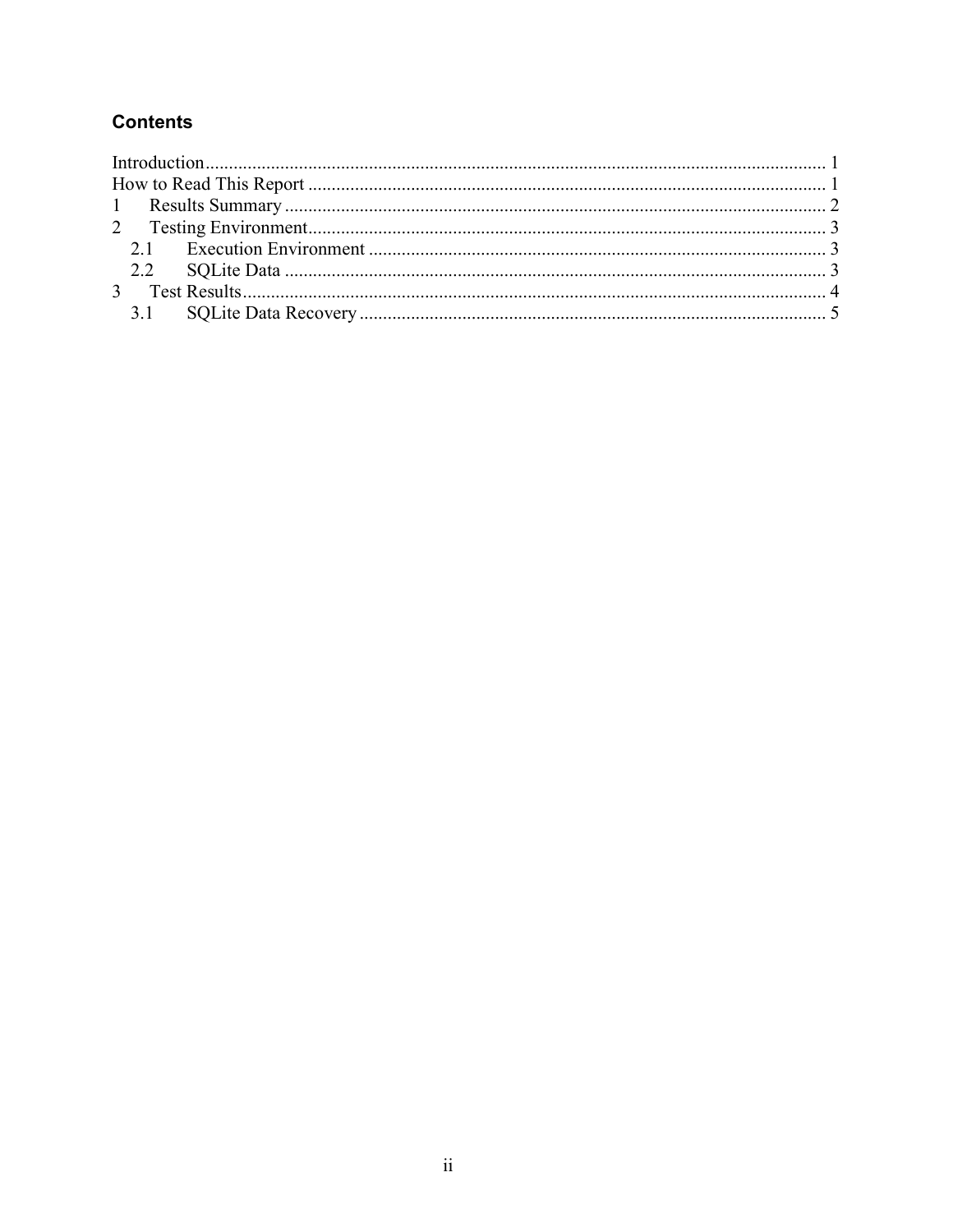#### **Contents**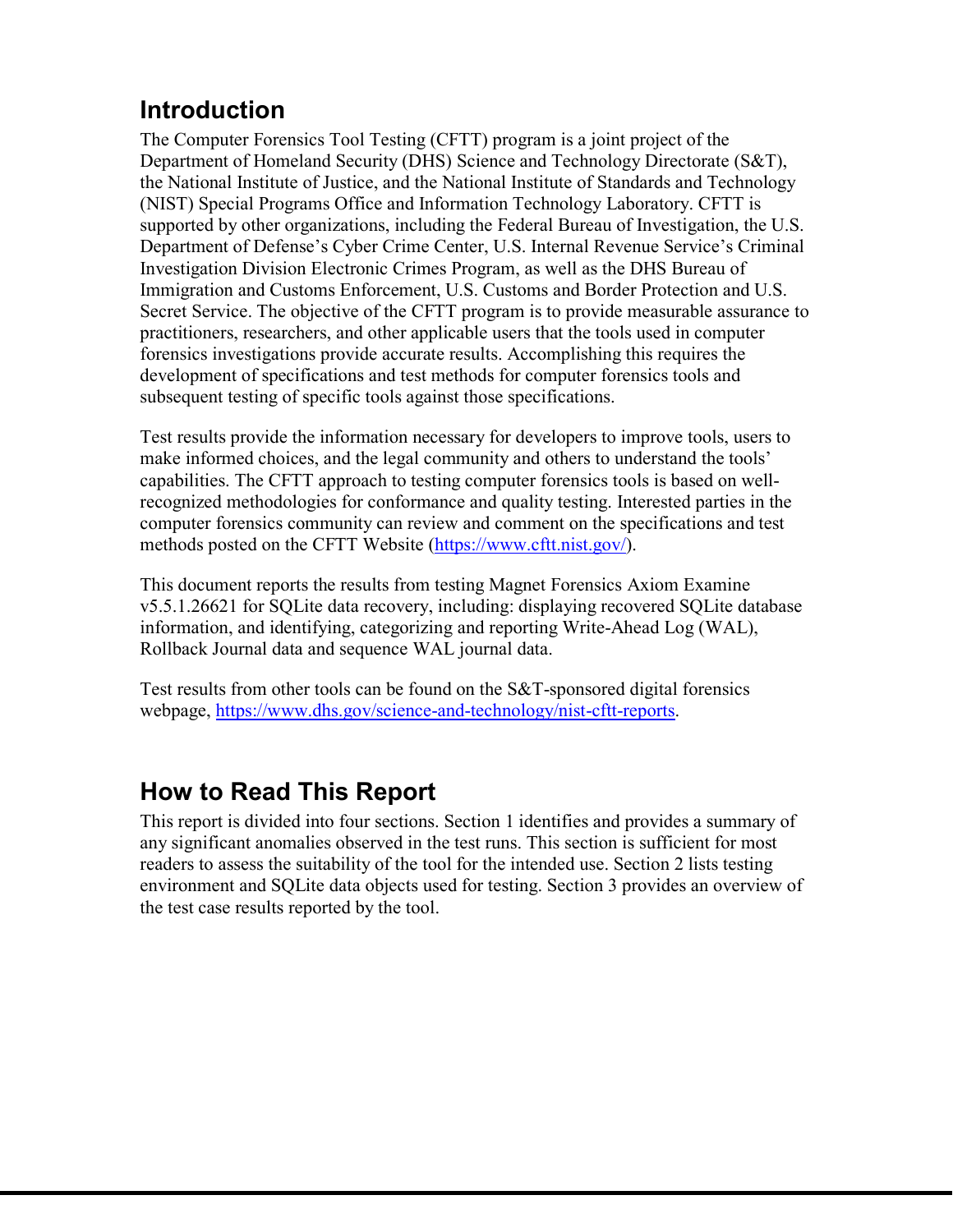# <span id="page-2-0"></span>**Introduction**

The Computer Forensics Tool Testing (CFTT) program is a joint project of the Department of Homeland Security (DHS) Science and Technology Directorate (S&T), the National Institute of Justice, and the National Institute of Standards and Technology (NIST) Special Programs Office and Information Technology Laboratory. CFTT is supported by other organizations, including the Federal Bureau of Investigation, the U.S. Department of Defense's Cyber Crime Center, U.S. Internal Revenue Service's Criminal Investigation Division Electronic Crimes Program, as well as the DHS Bureau of Immigration and Customs Enforcement, U.S. Customs and Border Protection and U.S. Secret Service. The objective of the CFTT program is to provide measurable assurance to practitioners, researchers, and other applicable users that the tools used in computer forensics investigations provide accurate results. Accomplishing this requires the development of specifications and test methods for computer forensics tools and subsequent testing of specific tools against those specifications.

Test results provide the information necessary for developers to improve tools, users to make informed choices, and the legal community and others to understand the tools' capabilities. The CFTT approach to testing computer forensics tools is based on wellrecognized methodologies for conformance and quality testing. Interested parties in the computer forensics community can review and comment on the specifications and test methods posted on the CFTT Website [\(https://www.cftt.nist.gov/\)](https://www.cftt.nist.gov/).

This document reports the results from testing Magnet Forensics Axiom Examine v5.5.1.26621 for SQLite data recovery, including: displaying recovered SQLite database information, and identifying, categorizing and reporting Write-Ahead Log (WAL), Rollback Journal data and sequence WAL journal data.

Test results from other tools can be found on the S&T-sponsored digital forensics webpage, [https://www.dhs.gov/science-and-technology/nist-cftt-reports.](https://www.dhs.gov/science-and-technology/nist-cftt-reports)

## <span id="page-2-1"></span>**How to Read This Report**

This report is divided into four sections. Section 1 identifies and provides a summary of any significant anomalies observed in the test runs. This section is sufficient for most readers to assess the suitability of the tool for the intended use. Section 2 lists testing environment and SQLite data objects used for testing. Section 3 provides an overview of the test case results reported by the tool.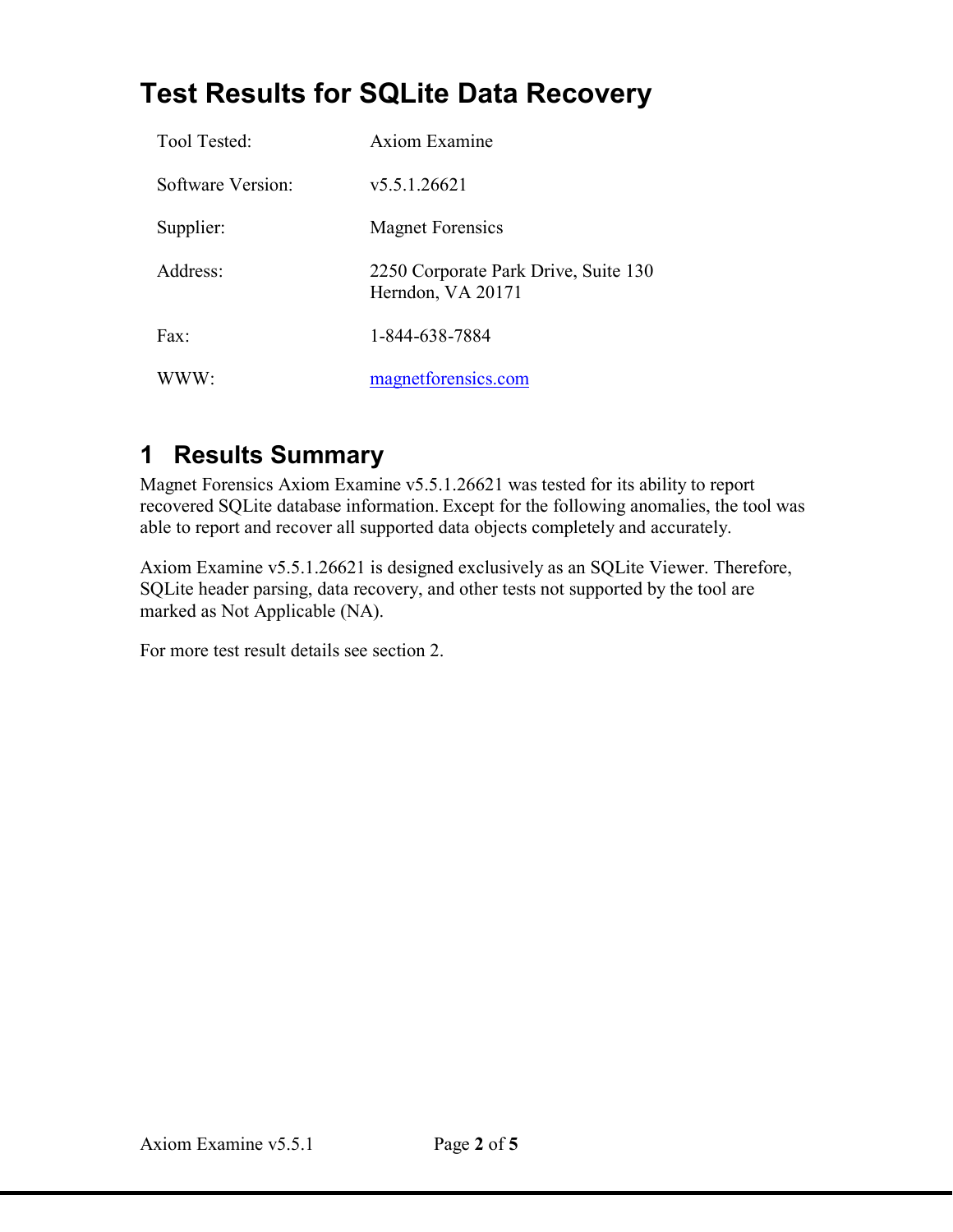# **Test Results for SQLite Data Recovery**

| Tool Tested:      | Axiom Examine                                             |
|-------------------|-----------------------------------------------------------|
| Software Version: | v5.5.1.26621                                              |
| Supplier:         | <b>Magnet Forensics</b>                                   |
| Address:          | 2250 Corporate Park Drive, Suite 130<br>Herndon, VA 20171 |
| Fax:              | 1-844-638-7884                                            |
| WWW:              | magnetforensics.com                                       |

# <span id="page-3-0"></span>**1 Results Summary**

Magnet Forensics Axiom Examine v5.5.1.26621 was tested for its ability to report recovered SQLite database information. Except for the following anomalies, the tool was able to report and recover all supported data objects completely and accurately.

Axiom Examine v5.5.1.26621 is designed exclusively as an SQLite Viewer. Therefore, SQLite header parsing, data recovery, and other tests not supported by the tool are marked as Not Applicable (NA).

<span id="page-3-1"></span>For more test result details see section 2.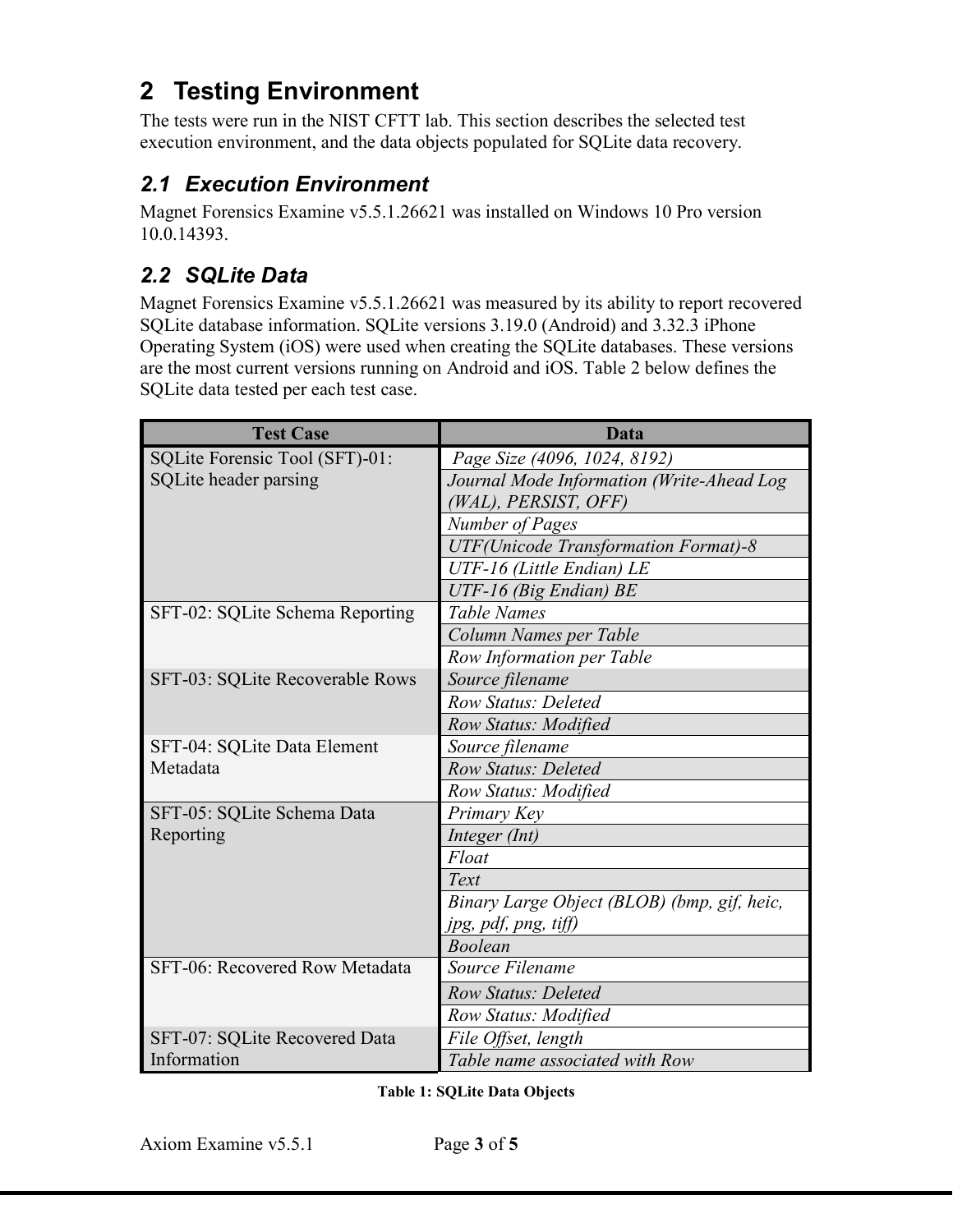## **2 Testing Environment**

The tests were run in the NIST CFTT lab. This section describes the selected test execution environment, and the data objects populated for SQLite data recovery.

### <span id="page-4-0"></span>*2.1 Execution Environment*

Magnet Forensics Examine v5.5.1.26621 was installed on Windows 10 Pro version 10.0.14393.

### <span id="page-4-1"></span>*2.2 SQLite Data*

Magnet Forensics Examine v5.5.1.26621 was measured by its ability to report recovered SQLite database information. SQLite versions 3.19.0 (Android) and 3.32.3 iPhone Operating System (iOS) were used when creating the SQLite databases. These versions are the most current versions running on Android and iOS. Table 2 below defines the SQLite data tested per each test case.

| <b>Test Case</b>                | Data                                         |  |  |  |  |
|---------------------------------|----------------------------------------------|--|--|--|--|
| SQLite Forensic Tool (SFT)-01:  | Page Size (4096, 1024, 8192)                 |  |  |  |  |
| SQLite header parsing           | Journal Mode Information (Write-Ahead Log    |  |  |  |  |
|                                 | (WAL), PERSIST, OFF)                         |  |  |  |  |
|                                 | <b>Number of Pages</b>                       |  |  |  |  |
|                                 | <b>UTF</b> (Unicode Transformation Format)-8 |  |  |  |  |
|                                 | UTF-16 (Little Endian) LE                    |  |  |  |  |
|                                 | UTF-16 (Big Endian) BE                       |  |  |  |  |
| SFT-02: SQLite Schema Reporting | <b>Table Names</b>                           |  |  |  |  |
|                                 | Column Names per Table                       |  |  |  |  |
|                                 | Row Information per Table                    |  |  |  |  |
| SFT-03: SQLite Recoverable Rows | Source filename                              |  |  |  |  |
|                                 | Row Status: Deleted                          |  |  |  |  |
|                                 | Row Status: Modified                         |  |  |  |  |
| SFT-04: SQLite Data Element     | Source filename                              |  |  |  |  |
| Metadata                        | <b>Row Status: Deleted</b>                   |  |  |  |  |
|                                 | Row Status: Modified                         |  |  |  |  |
| SFT-05: SQLite Schema Data      | Primary Key                                  |  |  |  |  |
| Reporting                       | Integer (Int)                                |  |  |  |  |
|                                 | Float                                        |  |  |  |  |
|                                 | Text                                         |  |  |  |  |
|                                 | Binary Large Object (BLOB) (bmp, gif, heic,  |  |  |  |  |
|                                 | jpg, pdf, png, tiff)                         |  |  |  |  |
|                                 | <b>Boolean</b>                               |  |  |  |  |
| SFT-06: Recovered Row Metadata  | Source Filename                              |  |  |  |  |
|                                 | <b>Row Status: Deleted</b>                   |  |  |  |  |
|                                 | Row Status: Modified                         |  |  |  |  |
| SFT-07: SQLite Recovered Data   | File Offset, length                          |  |  |  |  |
| Information                     | Table name associated with Row               |  |  |  |  |

**Table 1: SQLite Data Objects**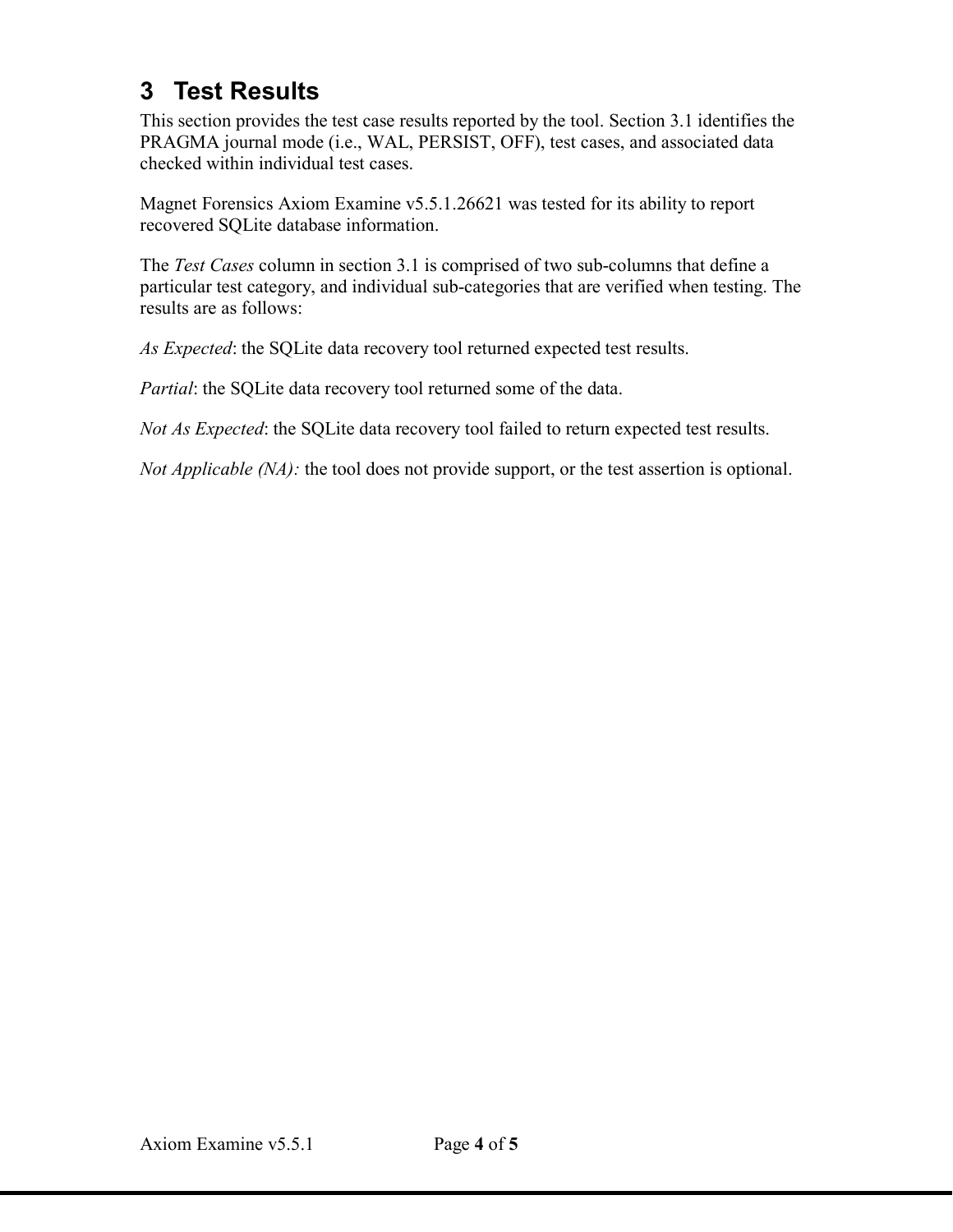## <span id="page-5-0"></span>**3 Test Results**

This section provides the test case results reported by the tool. Section 3.1 identifies the PRAGMA journal mode (i.e., WAL, PERSIST, OFF), test cases, and associated data checked within individual test cases.

Magnet Forensics Axiom Examine v5.5.1.26621 was tested for its ability to report recovered SQLite database information.

The *Test Cases* column in section 3.1 is comprised of two sub-columns that define a particular test category, and individual sub-categories that are verified when testing. The results are as follows:

*As Expected*: the SQLite data recovery tool returned expected test results.

*Partial*: the SQLite data recovery tool returned some of the data.

*Not As Expected*: the SQLite data recovery tool failed to return expected test results.

*Not Applicable (NA):* the tool does not provide support, or the test assertion is optional.